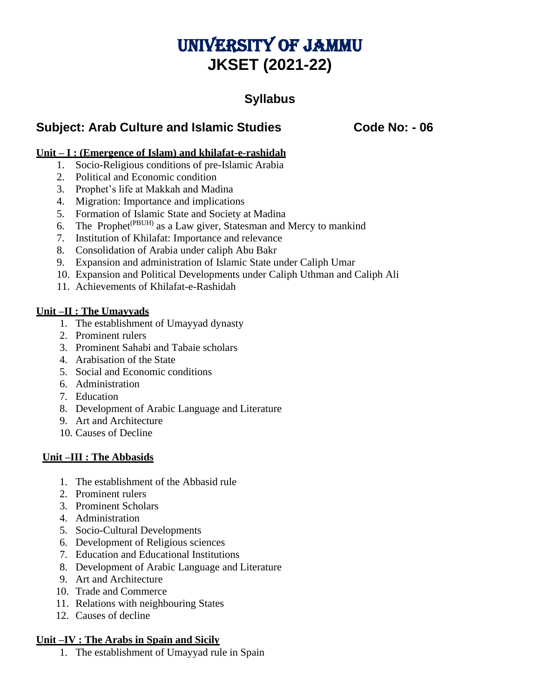# UNIVERSITY OF JAMMU **JKSET (2021-22)**

# **Syllabus**

# **Subject: Arab Culture and Islamic Studies Code No: - 06**

### **Unit – I : (Emergence of Islam) and khilafat-e-rashidah**

- 1. Socio-Religious conditions of pre-Islamic Arabia
- 2. Political and Economic condition
- 3. Prophet's life at Makkah and Madina
- 4. Migration: Importance and implications
- 5. Formation of Islamic State and Society at Madina
- 6. The Prophet(PBUH) as a Law giver, Statesman and Mercy to mankind
- 7. Institution of Khilafat: Importance and relevance
- 8. Consolidation of Arabia under caliph Abu Bakr
- 9. Expansion and administration of Islamic State under Caliph Umar
- 10. Expansion and Political Developments under Caliph Uthman and Caliph Ali
- 11. Achievements of Khilafat-e-Rashidah

#### **Unit –II : The Umayyads**

- 1. The establishment of Umayyad dynasty
- 2. Prominent rulers
- 3. Prominent Sahabi and Tabaie scholars
- 4. Arabisation of the State
- 5. Social and Economic conditions
- 6. Administration
- 7. Education
- 8. Development of Arabic Language and Literature
- 9. Art and Architecture
- 10. Causes of Decline

#### **Unit –III : The Abbasids**

- 1. The establishment of the Abbasid rule
- 2. Prominent rulers
- 3. Prominent Scholars
- 4. Administration
- 5. Socio-Cultural Developments
- 6. Development of Religious sciences
- 7. Education and Educational Institutions
- 8. Development of Arabic Language and Literature
- 9. Art and Architecture
- 10. Trade and Commerce
- 11. Relations with neighbouring States
- 12. Causes of decline

#### **Unit –IV : The Arabs in Spain and Sicily**

1. The establishment of Umayyad rule in Spain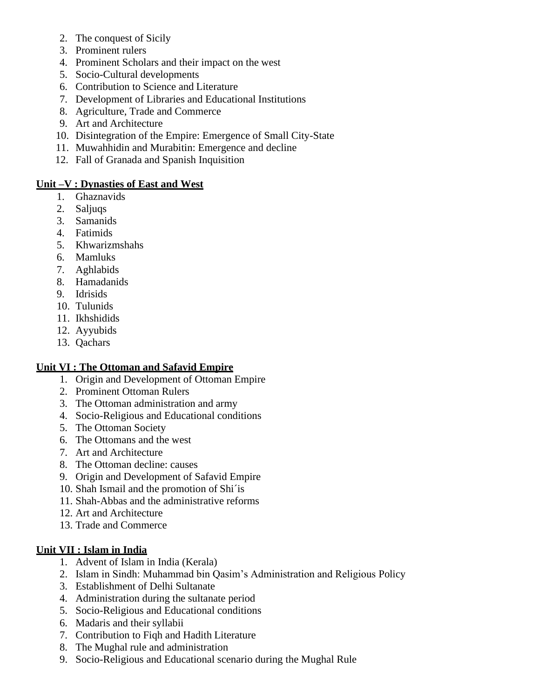- 2. The conquest of Sicily
- 3. Prominent rulers
- 4. Prominent Scholars and their impact on the west
- 5. Socio-Cultural developments
- 6. Contribution to Science and Literature
- 7. Development of Libraries and Educational Institutions
- 8. Agriculture, Trade and Commerce
- 9. Art and Architecture
- 10. Disintegration of the Empire: Emergence of Small City-State
- 11. Muwahhidin and Murabitin: Emergence and decline
- 12. Fall of Granada and Spanish Inquisition

#### **Unit –V : Dynasties of East and West**

- 1. Ghaznavids
- 2. Saljuqs
- 3. Samanids
- 4. Fatimids
- 5. Khwarizmshahs
- 6. Mamluks
- 7. Aghlabids
- 8. Hamadanids
- 9. Idrisids
- 10. Tulunids
- 11. Ikhshidids
- 12. Ayyubids
- 13. Qachars

# **Unit VI : The Ottoman and Safavid Empire**

- 1. Origin and Development of Ottoman Empire
- 2. Prominent Ottoman Rulers
- 3. The Ottoman administration and army
- 4. Socio-Religious and Educational conditions
- 5. The Ottoman Society
- 6. The Ottomans and the west
- 7. Art and Architecture
- 8. The Ottoman decline: causes
- 9. Origin and Development of Safavid Empire
- 10. Shah Ismail and the promotion of Shi´is
- 11. Shah-Abbas and the administrative reforms
- 12. Art and Architecture
- 13. Trade and Commerce

# **Unit VII : Islam in India**

- 1. Advent of Islam in India (Kerala)
- 2. Islam in Sindh: Muhammad bin Qasim's Administration and Religious Policy
- 3. Establishment of Delhi Sultanate
- 4. Administration during the sultanate period
- 5. Socio-Religious and Educational conditions
- 6. Madaris and their syllabii
- 7. Contribution to Fiqh and Hadith Literature
- 8. The Mughal rule and administration
- 9. Socio-Religious and Educational scenario during the Mughal Rule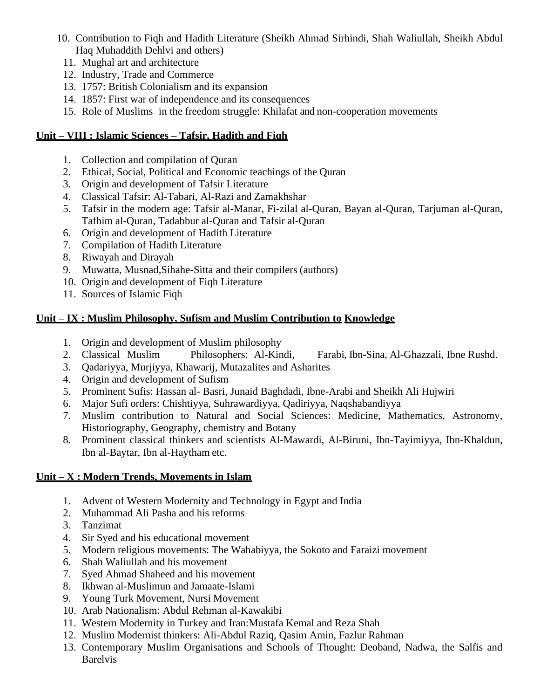- 10. Contribution to Fiqh and Hadith Literature (Sheikh Ahmad Sirhindi, Shah Waliullah, Sheikh Abdul Haq Muhaddith Dehlvi and others)
	- 11. Mughal art and architecture
	- 12. Industry, Trade and Commerce
	- 13. 1757: British Colonialism and its expansion
	- 14. 1857: First war of independence and its consequences
	- 15. Role of Muslims in the freedom struggle: Khilafat and non-cooperation movements

#### **Unit – VIII : Islamic Sciences – Tafsir, Hadith and Fiqh**

- 1. Collection and compilation of Quran
- 2. Ethical, Social, Political and Economic teachings of the Quran
- 3. Origin and development of Tafsir Literature
- 4. Classical Tafsir: Al-Tabari, Al-Razi and Zamakhshar
- 5. Tafsir in the modern age: Tafsir al-Manar, Fi-zilal al-Quran, Bayan al-Quran, Tarjuman al-Quran, Tafhim al-Quran, Tadabbur al-Quran and Tafsir al-Quran
- 6. Origin and development of Hadith Literature
- 7. Compilation of Hadith Literature
- 8. Riwayah and Dirayah
- 9. Muwatta, Musnad,Sihahe-Sitta and their compilers (authors)
- 10. Origin and development of Fiqh Literature
- 11. Sources of Islamic Fiqh

# **Unit – IX : Muslim Philosophy, Sufism and Muslim Contribution to Knowledge**

- 1. Origin and development of Muslim philosophy
- 2. Classical Muslim Philosophers: Al-Kindi, Farabi, Ibn-Sina, Al-Ghazzali, Ibne Rushd.
- 3. Qadariyya, Murjiyya, Khawarij, Mutazalites and Asharites
- 4. Origin and development of Sufism
- 5. Prominent Sufis: Hassan al- Basri, Junaid Baghdadi, Ibne-Arabi and Sheikh Ali Hujwiri
- 6. Major Sufi orders: Chishtiyya, Suhrawardiyya, Qadiriyya, Naqshabandiyya
- 7. Muslim contribution to Natural and Social Sciences: Medicine, Mathematics, Astronomy, Historiography, Geography, chemistry and Botany
- 8. Prominent classical thinkers and scientists Al-Mawardi, Al-Biruni, Ibn-Tayimiyya, Ibn-Khaldun, Ibn al-Baytar, Ibn al-Haytham etc.

# **Unit – X : Modern Trends, Movements in Islam**

- 1. Advent of Western Modernity and Technology in Egypt and India
- 2. Muhammad Ali Pasha and his reforms
- 3. Tanzimat
- 4. Sir Syed and his educational movement
- 5. Modern religious movements: The Wahabiyya, the Sokoto and Faraizi movement
- 6. Shah Waliullah and his movement
- 7. Syed Ahmad Shaheed and his movement
- 8. Ikhwan al-Muslimun and Jamaate-Islami
- 9. Young Turk Movement, Nursi Movement
- 10. Arab Nationalism: Abdul Rehman al-Kawakibi
- 11. Western Modernity in Turkey and Iran:Mustafa Kemal and Reza Shah
- 12. Muslim Modernist thinkers: Ali-Abdul Raziq, Qasim Amin, Fazlur Rahman
- 13. Contemporary Muslim Organisations and Schools of Thought: Deoband, Nadwa, the Salfis and Barelvis